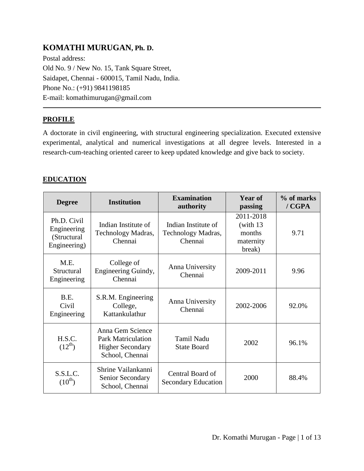# **KOMATHI MURUGAN, Ph. D.**

Postal address: Old No. 9 / New No. 15, Tank Square Street, Saidapet, Chennai - 600015, Tamil Nadu, India. Phone No.: (+91) 9841198185 E-mail: komathimurugan@gmail.com

## **PROFILE**

A doctorate in civil engineering, with structural engineering specialization. Executed extensive experimental, analytical and numerical investigations at all degree levels. Interested in a research-cum-teaching oriented career to keep updated knowledge and give back to society.

## **EDUCATION**

| <b>Degree</b>                                             | <b>Institution</b>                                                                          | <b>Examination</b><br>authority                      | <b>Year of</b><br>passing                                | % of marks<br>$/$ $CGPA$ |
|-----------------------------------------------------------|---------------------------------------------------------------------------------------------|------------------------------------------------------|----------------------------------------------------------|--------------------------|
| Ph.D. Civil<br>Engineering<br>(Structural<br>Engineering) | Indian Institute of<br>Technology Madras,<br>Chennai                                        | Indian Institute of<br>Technology Madras,<br>Chennai | 2011-2018<br>(with $13$<br>months<br>maternity<br>break) | 9.71                     |
| M.E.<br>Structural<br>Engineering                         | College of<br>Engineering Guindy,<br>Chennai                                                | Anna University<br>Chennai                           | 2009-2011                                                | 9.96                     |
| B.E.<br>Civil<br>Engineering                              | S.R.M. Engineering<br>College,<br>Kattankulathur                                            | Anna University<br>Chennai                           | 2002-2006                                                | 92.0%                    |
| H.S.C.<br>$(12^{th})$                                     | Anna Gem Science<br><b>Park Matriculation</b><br><b>Higher Secondary</b><br>School, Chennai | <b>Tamil Nadu</b><br><b>State Board</b>              | 2002                                                     | 96.1%                    |
| S.S.L.C.<br>$(10^{th})$                                   | Shrine Vailankanni<br>Senior Secondary<br>School, Chennai                                   | Central Board of<br><b>Secondary Education</b>       | 2000                                                     | 88.4%                    |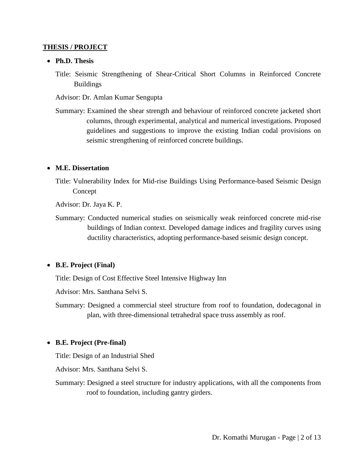#### **THESIS / PROJECT**

#### **Ph.D. Thesis**

- Title: Seismic Strengthening of Shear-Critical Short Columns in Reinforced Concrete Buildings
- Advisor: Dr. Amlan Kumar Sengupta
- Summary: Examined the shear strength and behaviour of reinforced concrete jacketed short columns, through experimental, analytical and numerical investigations. Proposed guidelines and suggestions to improve the existing Indian codal provisions on seismic strengthening of reinforced concrete buildings.

#### **M.E. Dissertation**

Title: Vulnerability Index for Mid-rise Buildings Using Performance-based Seismic Design Concept

Advisor: Dr. Jaya K. P.

Summary: Conducted numerical studies on seismically weak reinforced concrete mid-rise buildings of Indian context. Developed damage indices and fragility curves using ductility characteristics, adopting performance-based seismic design concept.

## **B.E. Project (Final)**

Title: Design of Cost Effective Steel Intensive Highway Inn

Advisor: Mrs. Santhana Selvi S.

Summary: Designed a commercial steel structure from roof to foundation, dodecagonal in plan, with three-dimensional tetrahedral space truss assembly as roof.

## **B.E. Project (Pre-final)**

Title: Design of an Industrial Shed

Advisor: Mrs. Santhana Selvi S.

Summary: Designed a steel structure for industry applications, with all the components from roof to foundation, including gantry girders.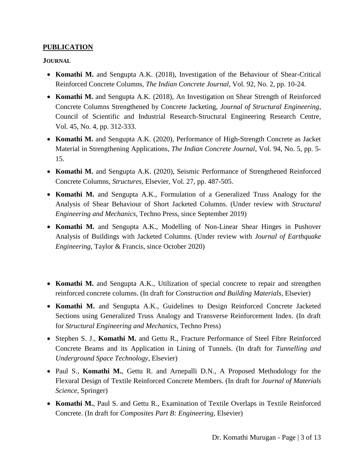## **PUBLICATION**

**JOURNAL**

- **Komathi M.** and Sengupta A.K. (2018), Investigation of the Behaviour of Shear-Critical Reinforced Concrete Columns, *The Indian Concrete Journal*, Vol. 92, No. 2, pp. 10-24.
- **Komathi M.** and Sengupta A.K. (2018), An Investigation on Shear Strength of Reinforced Concrete Columns Strengthened by Concrete Jacketing, *Journal of Structural Engineering*, Council of Scientific and Industrial Research-Structural Engineering Research Centre, Vol. 45, No. 4, pp. 312-333.
- **Komathi M.** and Sengupta A.K. (2020), Performance of High-Strength Concrete as Jacket Material in Strengthening Applications, *The Indian Concrete Journal*, Vol. 94, No. 5, pp. 5- 15.
- **Komathi M.** and Sengupta A.K. (2020), Seismic Performance of Strengthened Reinforced Concrete Columns, *Structures*, Elsevier, Vol. 27, pp. 487-505.
- **Komathi M.** and Sengupta A.K., Formulation of a Generalized Truss Analogy for the Analysis of Shear Behaviour of Short Jacketed Columns. (Under review with *Structural Engineering and Mechanics*, Techno Press, since September 2019)
- **Komathi M.** and Sengupta A.K., Modelling of Non-Linear Shear Hinges in Pushover Analysis of Buildings with Jacketed Columns. (Under review with *Journal of Earthquake Engineering*, Taylor & Francis, since October 2020)
- Komathi M. and Sengupta A.K., Utilization of special concrete to repair and strengthen reinforced concrete columns. (In draft for *Construction and Building Materials*, Elsevier)
- **Komathi M.** and Sengupta A.K., Guidelines to Design Reinforced Concrete Jacketed Sections using Generalized Truss Analogy and Transverse Reinforcement Index. (In draft for *Structural Engineering and Mechanics*, Techno Press)
- Stephen S. J., **Komathi M.** and Gettu R., Fracture Performance of Steel Fibre Reinforced Concrete Beams and its Application in Lining of Tunnels. (In draft for *Tunnelling and Underground Space Technology*, Elsevier)
- Paul S., **Komathi M.**, Gettu R. and Arnepalli D.N., A Proposed Methodology for the Flexural Design of Textile Reinforced Concrete Members. (In draft for *Journal of Materials Science*, Springer)
- **Komathi M.**, Paul S. and Gettu R., Examination of Textile Overlaps in Textile Reinforced Concrete. (In draft for *Composites Part B: Engineering*, Elsevier)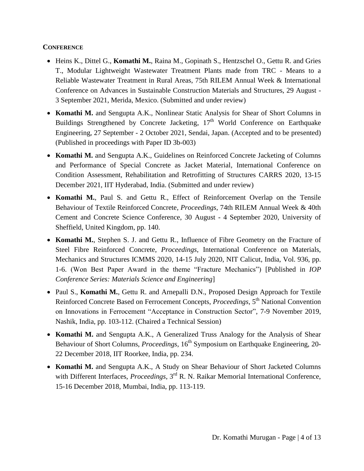### **CONFERENCE**

- Heins K., Dittel G., **Komathi M.**, Raina M., Gopinath S., Hentzschel O., Gettu R. and Gries T., Modular Lightweight Wastewater Treatment Plants made from TRC - Means to a Reliable Wastewater Treatment in Rural Areas, 75th RILEM Annual Week & International Conference on Advances in Sustainable Construction Materials and Structures, 29 August - 3 September 2021, Merida, Mexico. (Submitted and under review)
- **Komathi M.** and Sengupta A.K., Nonlinear Static Analysis for Shear of Short Columns in Buildings Strengthened by Concrete Jacketing,  $17<sup>th</sup>$  World Conference on Earthquake Engineering, 27 September - 2 October 2021, Sendai, Japan. (Accepted and to be presented) (Published in proceedings with Paper ID 3b-003)
- **Komathi M.** and Sengupta A.K., Guidelines on Reinforced Concrete Jacketing of Columns and Performance of Special Concrete as Jacket Material, International Conference on Condition Assessment, Rehabilitation and Retrofitting of Structures CARRS 2020, 13-15 December 2021, IIT Hyderabad, India. (Submitted and under review)
- **Komathi M.**, Paul S. and Gettu R., Effect of Reinforcement Overlap on the Tensile Behaviour of Textile Reinforced Concrete, *Proceedings*, 74th RILEM Annual Week & 40th Cement and Concrete Science Conference, 30 August - 4 September 2020, University of Sheffield, United Kingdom, pp. 140.
- **Komathi M.**, Stephen S. J. and Gettu R., Influence of Fibre Geometry on the Fracture of Steel Fibre Reinforced Concrete, *Proceedings*, International Conference on Materials, Mechanics and Structures ICMMS 2020, 14-15 July 2020, NIT Calicut, India, Vol. 936, pp. 1-6. (Won Best Paper Award in the theme "Fracture Mechanics") [Published in *IOP Conference Series: Materials Science and Engineering*]
- Paul S., **Komathi M.**, Gettu R. and Arnepalli D.N., Proposed Design Approach for Textile Reinforced Concrete Based on Ferrocement Concepts, *Proceedings*, 5<sup>th</sup> National Convention on Innovations in Ferrocement "Acceptance in Construction Sector", 7-9 November 2019, Nashik, India, pp. 103-112. (Chaired a Technical Session)
- Komathi M. and Sengupta A.K., A Generalized Truss Analogy for the Analysis of Shear Behaviour of Short Columns, *Proceedings*, 16<sup>th</sup> Symposium on Earthquake Engineering, 20-22 December 2018, IIT Roorkee, India, pp. 234.
- **Komathi M.** and Sengupta A.K., A Study on Shear Behaviour of Short Jacketed Columns with Different Interfaces, *Proceedings*, 3<sup>rd</sup> R. N. Raikar Memorial International Conference, 15-16 December 2018, Mumbai, India, pp. 113-119.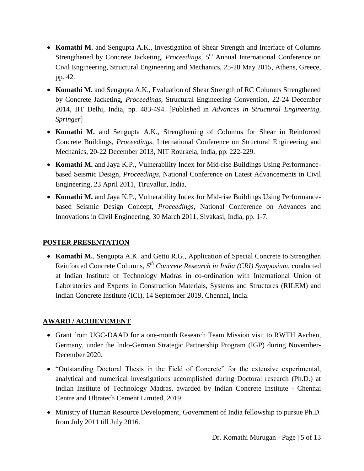- **Komathi M.** and Sengupta A.K., Investigation of Shear Strength and Interface of Columns Strengthened by Concrete Jacketing, *Proceedings*, 5<sup>th</sup> Annual International Conference on Civil Engineering, Structural Engineering and Mechanics, 25-28 May 2015, Athens, Greece, pp. 42.
- Komathi M. and Sengupta A.K., Evaluation of Shear Strength of RC Columns Strengthened by Concrete Jacketing, *Proceedings*, Structural Engineering Convention, 22-24 December 2014, IIT Delhi, India, pp. 483-494. [Published in *Advances in Structural Engineering, Springer*]
- **Komathi M.** and Sengupta A.K., Strengthening of Columns for Shear in Reinforced Concrete Buildings, *Proceedings*, International Conference on Structural Engineering and Mechanics, 20-22 December 2013, NIT Rourkela, India, pp. 222-229.
- **Komathi M.** and Jaya K.P., Vulnerability Index for Mid-rise Buildings Using Performancebased Seismic Design, *Proceedings*, National Conference on Latest Advancements in Civil Engineering, 23 April 2011, Tiruvallur, India.
- **Komathi M.** and Jaya K.P., Vulnerability Index for Mid-rise Buildings Using Performancebased Seismic Design Concept, *Proceedings*, National Conference on Advances and Innovations in Civil Engineering, 30 March 2011, Sivakasi, India, pp. 1-7.

## **POSTER PRESENTATION**

 **Komathi M.**, Sengupta A.K. and Gettu R.G., Application of Special Concrete to Strengthen Reinforced Concrete Columns, *5 th Concrete Research in India (CRI) Symposium*, conducted at Indian Institute of Technology Madras in co-ordination with International Union of Laboratories and Experts in Construction Materials, Systems and Structures (RILEM) and Indian Concrete Institute (ICI), 14 September 2019, Chennai, India.

## **AWARD / ACHIEVEMENT**

- Grant from UGC-DAAD for a one-month Research Team Mission visit to RWTH Aachen, Germany, under the Indo-German Strategic Partnership Program (IGP) during November-December 2020.
- "Outstanding Doctoral Thesis in the Field of Concrete" for the extensive experimental, analytical and numerical investigations accomplished during Doctoral research (Ph.D.) at Indian Institute of Technology Madras, awarded by Indian Concrete Institute - Chennai Centre and Ultratech Cement Limited, 2019.
- Ministry of Human Resource Development, Government of India fellowship to pursue Ph.D. from July 2011 till July 2016.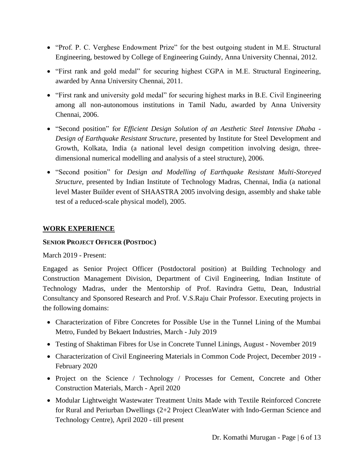- "Prof. P. C. Verghese Endowment Prize" for the best outgoing student in M.E. Structural Engineering, bestowed by College of Engineering Guindy, Anna University Chennai, 2012.
- "First rank and gold medal" for securing highest CGPA in M.E. Structural Engineering, awarded by Anna University Chennai, 2011.
- "First rank and university gold medal" for securing highest marks in B.E. Civil Engineering among all non-autonomous institutions in Tamil Nadu, awarded by Anna University Chennai, 2006.
- "Second position" for *Efficient Design Solution of an Aesthetic Steel Intensive Dhaba - Design of Earthquake Resistant Structure*, presented by Institute for Steel Development and Growth, Kolkata, India (a national level design competition involving design, threedimensional numerical modelling and analysis of a steel structure), 2006.
- "Second position" for *Design and Modelling of Earthquake Resistant Multi-Storeyed Structure*, presented by Indian Institute of Technology Madras, Chennai, India (a national level Master Builder event of SHAASTRA 2005 involving design, assembly and shake table test of a reduced-scale physical model), 2005.

## **WORK EXPERIENCE**

## **SENIOR PROJECT OFFICER (POSTDOC)**

March 2019 - Present:

Engaged as Senior Project Officer (Postdoctoral position) at Building Technology and Construction Management Division, Department of Civil Engineering, Indian Institute of Technology Madras, under the Mentorship of Prof. Ravindra Gettu, Dean, Industrial Consultancy and Sponsored Research and Prof. V.S.Raju Chair Professor. Executing projects in the following domains:

- Characterization of Fibre Concretes for Possible Use in the Tunnel Lining of the Mumbai Metro, Funded by Bekaert Industries, March - July 2019
- Testing of Shaktiman Fibres for Use in Concrete Tunnel Linings, August November 2019
- Characterization of Civil Engineering Materials in Common Code Project, December 2019 February 2020
- Project on the Science / Technology / Processes for Cement, Concrete and Other Construction Materials, March - April 2020
- Modular Lightweight Wastewater Treatment Units Made with Textile Reinforced Concrete for Rural and Periurban Dwellings (2+2 Project CleanWater with Indo-German Science and Technology Centre), April 2020 - till present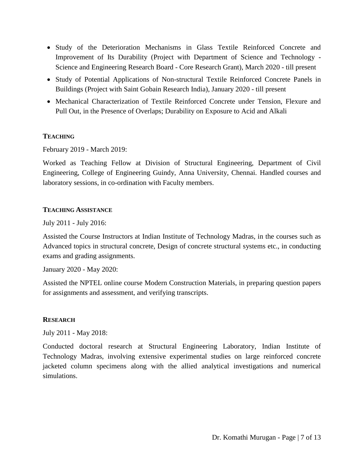- Study of the Deterioration Mechanisms in Glass Textile Reinforced Concrete and Improvement of Its Durability (Project with Department of Science and Technology - Science and Engineering Research Board - Core Research Grant), March 2020 - till present
- Study of Potential Applications of Non-structural Textile Reinforced Concrete Panels in Buildings (Project with Saint Gobain Research India), January 2020 - till present
- Mechanical Characterization of Textile Reinforced Concrete under Tension, Flexure and Pull Out, in the Presence of Overlaps; Durability on Exposure to Acid and Alkali

#### **TEACHING**

February 2019 - March 2019:

Worked as Teaching Fellow at Division of Structural Engineering, Department of Civil Engineering, College of Engineering Guindy, Anna University, Chennai. Handled courses and laboratory sessions, in co-ordination with Faculty members.

#### **TEACHING ASSISTANCE**

July 2011 - July 2016:

Assisted the Course Instructors at Indian Institute of Technology Madras, in the courses such as Advanced topics in structural concrete, Design of concrete structural systems etc., in conducting exams and grading assignments.

January 2020 - May 2020:

Assisted the NPTEL online course Modern Construction Materials, in preparing question papers for assignments and assessment, and verifying transcripts.

#### **RESEARCH**

July 2011 - May 2018:

Conducted doctoral research at Structural Engineering Laboratory, Indian Institute of Technology Madras, involving extensive experimental studies on large reinforced concrete jacketed column specimens along with the allied analytical investigations and numerical simulations.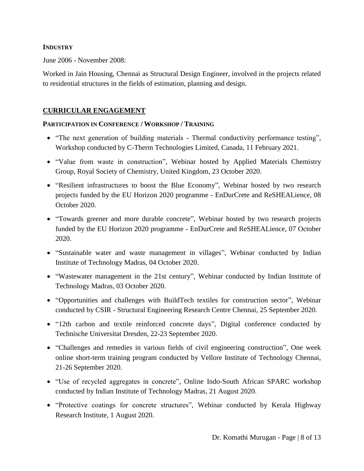### **INDUSTRY**

June 2006 - November 2008:

Worked in Jain Housing, Chennai as Structural Design Engineer, involved in the projects related to residential structures in the fields of estimation, planning and design.

## **CURRICULAR ENGAGEMENT**

#### **PARTICIPATION IN CONFERENCE / WORKSHOP / TRAINING**

- "The next generation of building materials Thermal conductivity performance testing", Workshop conducted by C-Therm Technologies Limited, Canada, 11 February 2021.
- "Value from waste in construction", Webinar hosted by Applied Materials Chemistry Group, Royal Society of Chemistry, United Kingdom, 23 October 2020.
- "Resilient infrastructures to boost the Blue Economy", Webinar hosted by two research projects funded by the EU Horizon 2020 programme - EnDurCrete and ReSHEALience, 08 October 2020.
- "Towards greener and more durable concrete", Webinar hosted by two research projects funded by the EU Horizon 2020 programme - EnDurCrete and ReSHEALience, 07 October 2020.
- "Sustainable water and waste management in villages", Webinar conducted by Indian Institute of Technology Madras, 04 October 2020.
- "Wastewater management in the 21st century", Webinar conducted by Indian Institute of Technology Madras, 03 October 2020.
- "Opportunities and challenges with BuildTech textiles for construction sector", Webinar conducted by CSIR - Structural Engineering Research Centre Chennai, 25 September 2020.
- "12th carbon and textile reinforced concrete days", Digital conference conducted by Technische Universitat Dresden, 22-23 September 2020.
- "Challenges and remedies in various fields of civil engineering construction", One week online short-term training program conducted by Vellore Institute of Technology Chennai, 21-26 September 2020.
- "Use of recycled aggregates in concrete", Online Indo-South African SPARC workshop conducted by Indian Institute of Technology Madras, 21 August 2020.
- "Protective coatings for concrete structures", Webinar conducted by Kerala Highway Research Institute, 1 August 2020.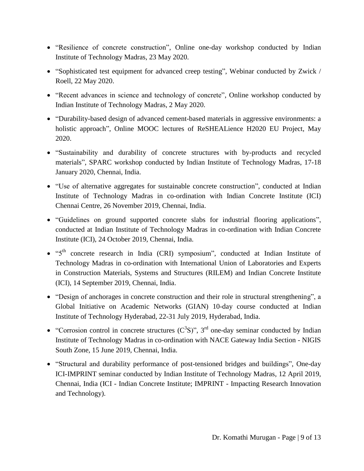- "Resilience of concrete construction", Online one-day workshop conducted by Indian Institute of Technology Madras, 23 May 2020.
- "Sophisticated test equipment for advanced creep testing", Webinar conducted by Zwick / Roell, 22 May 2020.
- "Recent advances in science and technology of concrete", Online workshop conducted by Indian Institute of Technology Madras, 2 May 2020.
- "Durability-based design of advanced cement-based materials in aggressive environments: a holistic approach", Online MOOC lectures of ReSHEALience H2020 EU Project, May 2020.
- "Sustainability and durability of concrete structures with by-products and recycled materials", SPARC workshop conducted by Indian Institute of Technology Madras, 17-18 January 2020, Chennai, India.
- "Use of alternative aggregates for sustainable concrete construction", conducted at Indian Institute of Technology Madras in co-ordination with Indian Concrete Institute (ICI) Chennai Centre, 26 November 2019, Chennai, India.
- "Guidelines on ground supported concrete slabs for industrial flooring applications", conducted at Indian Institute of Technology Madras in co-ordination with Indian Concrete Institute (ICI), 24 October 2019, Chennai, India.
- "5<sup>th</sup> concrete research in India (CRI) symposium", conducted at Indian Institute of Technology Madras in co-ordination with International Union of Laboratories and Experts in Construction Materials, Systems and Structures (RILEM) and Indian Concrete Institute (ICI), 14 September 2019, Chennai, India.
- "Design of anchorages in concrete construction and their role in structural strengthening", a Global Initiative on Academic Networks (GIAN) 10-day course conducted at Indian Institute of Technology Hyderabad, 22-31 July 2019, Hyderabad, India.
- "Corrosion control in concrete structures  $(C^{3}S)$ ", 3<sup>rd</sup> one-day seminar conducted by Indian Institute of Technology Madras in co-ordination with NACE Gateway India Section - NIGIS South Zone, 15 June 2019, Chennai, India.
- "Structural and durability performance of post-tensioned bridges and buildings", One-day ICI-IMPRINT seminar conducted by Indian Institute of Technology Madras, 12 April 2019, Chennai, India (ICI - Indian Concrete Institute; IMPRINT - Impacting Research Innovation and Technology).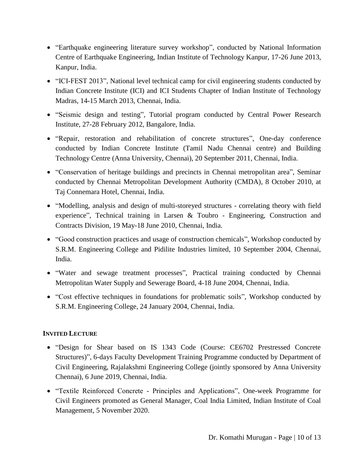- "Earthquake engineering literature survey workshop", conducted by National Information Centre of Earthquake Engineering, Indian Institute of Technology Kanpur, 17-26 June 2013, Kanpur, India.
- "ICI-FEST 2013", National level technical camp for civil engineering students conducted by Indian Concrete Institute (ICI) and ICI Students Chapter of Indian Institute of Technology Madras, 14-15 March 2013, Chennai, India.
- "Seismic design and testing", Tutorial program conducted by Central Power Research Institute, 27-28 February 2012, Bangalore, India.
- "Repair, restoration and rehabilitation of concrete structures", One-day conference conducted by Indian Concrete Institute (Tamil Nadu Chennai centre) and Building Technology Centre (Anna University, Chennai), 20 September 2011, Chennai, India.
- "Conservation of heritage buildings and precincts in Chennai metropolitan area", Seminar conducted by Chennai Metropolitan Development Authority (CMDA), 8 October 2010, at Taj Connemara Hotel, Chennai, India.
- "Modelling, analysis and design of multi-storeyed structures correlating theory with field experience", Technical training in Larsen & Toubro - Engineering, Construction and Contracts Division, 19 May-18 June 2010, Chennai, India.
- "Good construction practices and usage of construction chemicals", Workshop conducted by S.R.M. Engineering College and Pidilite Industries limited, 10 September 2004, Chennai, India.
- "Water and sewage treatment processes", Practical training conducted by Chennai Metropolitan Water Supply and Sewerage Board, 4-18 June 2004, Chennai, India.
- "Cost effective techniques in foundations for problematic soils", Workshop conducted by S.R.M. Engineering College, 24 January 2004, Chennai, India.

## **INVITED LECTURE**

- "Design for Shear based on IS 1343 Code (Course: CE6702 Prestressed Concrete Structures)", 6-days Faculty Development Training Programme conducted by Department of Civil Engineering, Rajalakshmi Engineering College (jointly sponsored by Anna University Chennai), 6 June 2019, Chennai, India.
- "Textile Reinforced Concrete Principles and Applications", One-week Programme for Civil Engineers promoted as General Manager, Coal India Limited, Indian Institute of Coal Management, 5 November 2020.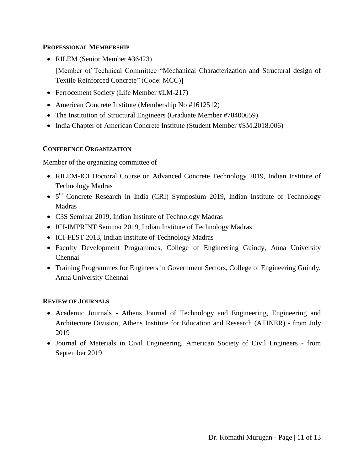### **PROFESSIONAL MEMBERSHIP**

• RILEM (Senior Member #36423)

[Member of Technical Committee "Mechanical Characterization and Structural design of Textile Reinforced Concrete" (Code: MCC)]

- Ferrocement Society (Life Member #LM-217)
- American Concrete Institute (Membership No #1612512)
- The Institution of Structural Engineers (Graduate Member #78400659)
- India Chapter of American Concrete Institute (Student Member #SM.2018.006)

## **CONFERENCE ORGANIZATION**

Member of the organizing committee of

- RILEM-ICI Doctoral Course on Advanced Concrete Technology 2019, Indian Institute of Technology Madras
- 5<sup>th</sup> Concrete Research in India (CRI) Symposium 2019, Indian Institute of Technology Madras
- C3S Seminar 2019, Indian Institute of Technology Madras
- ICI-IMPRINT Seminar 2019, Indian Institute of Technology Madras
- ICI-FEST 2013, Indian Institute of Technology Madras
- Faculty Development Programmes, College of Engineering Guindy, Anna University Chennai
- Training Programmes for Engineers in Government Sectors, College of Engineering Guindy, Anna University Chennai

## **REVIEW OF JOURNALS**

- Academic Journals Athens Journal of Technology and Engineering, Engineering and Architecture Division, Athens Institute for Education and Research (ATINER) - from July 2019
- Journal of Materials in Civil Engineering, American Society of Civil Engineers from September 2019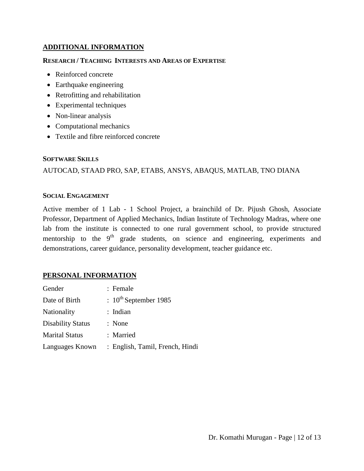### **ADDITIONAL INFORMATION**

#### **RESEARCH / TEACHING INTERESTS AND AREAS OF EXPERTISE**

- Reinforced concrete
- Earthquake engineering
- Retrofitting and rehabilitation
- Experimental techniques
- Non-linear analysis
- Computational mechanics
- Textile and fibre reinforced concrete

#### **SOFTWARE SKILLS**

## AUTOCAD, STAAD PRO, SAP, ETABS, ANSYS, ABAQUS, MATLAB, TNO DIANA

#### **SOCIAL ENGAGEMENT**

Active member of 1 Lab - 1 School Project, a brainchild of Dr. Pijush Ghosh, Associate Professor, Department of Applied Mechanics, Indian Institute of Technology Madras, where one lab from the institute is connected to one rural government school, to provide structured mentorship to the  $9<sup>th</sup>$  grade students, on science and engineering, experiments and demonstrations, career guidance, personality development, teacher guidance etc.

#### **PERSONAL INFORMATION**

| Gender                   | : Female                        |
|--------------------------|---------------------------------|
| Date of Birth            | $: 10^{th}$ September 1985      |
| Nationality              | : Indian                        |
| <b>Disability Status</b> | : None                          |
| <b>Marital Status</b>    | : Married                       |
| Languages Known          | : English, Tamil, French, Hindi |